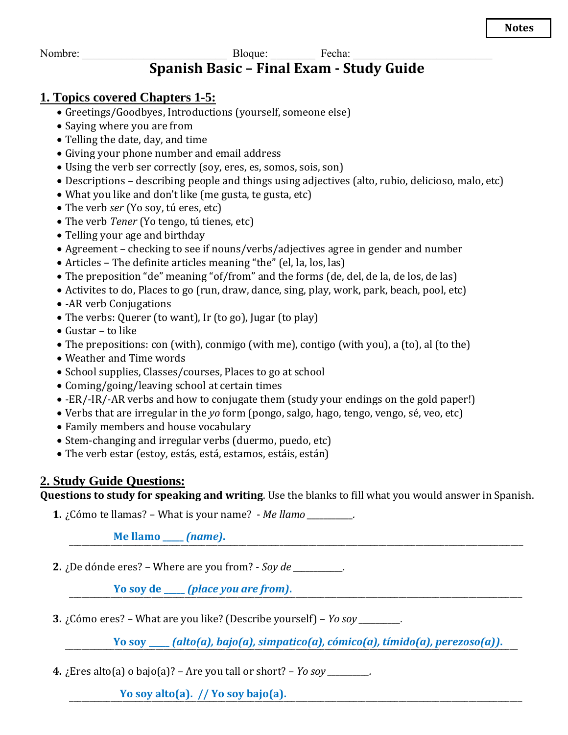### Nombre: \_\_\_\_\_\_\_\_\_\_\_\_\_\_\_\_\_\_\_\_\_\_\_\_\_\_ Bloque: \_\_\_\_\_\_\_\_ Fecha: \_\_\_\_\_\_\_\_\_\_\_\_\_\_\_\_\_\_\_\_\_\_\_\_\_ **Spanish Basic – Final Exam - Study Guide**

### **1. Topics covered Chapters 1-5:**

- Greetings/Goodbyes, Introductions (yourself, someone else)
- Saying where you are from
- Telling the date, day, and time
- Giving your phone number and email address
- Using the verb ser correctly (soy, eres, es, somos, sois, son)
- Descriptions describing people and things using adjectives (alto, rubio, delicioso, malo, etc)
- What you like and don't like (me gusta, te gusta, etc)
- The verb *ser* (Yo soy, tú eres, etc)
- The verb *Tener* (Yo tengo, tú tienes, etc)
- Telling your age and birthday
- Agreement checking to see if nouns/verbs/adjectives agree in gender and number
- Articles The definite articles meaning "the" (el, la, los, las)
- The preposition "de" meaning "of/from" and the forms (de, del, de la, de los, de las)
- Activites to do, Places to go (run, draw, dance, sing, play, work, park, beach, pool, etc)
- - AR verb Conjugations
- The verbs: Querer (to want), Ir (to go), Jugar (to play)
- Gustar to like
- The prepositions: con (with), conmigo (with me), contigo (with you), a (to), al (to the)
- Weather and Time words
- School supplies, Classes/courses, Places to go at school
- Coming/going/leaving school at certain times
- -ER/-IR/-AR verbs and how to conjugate them (study your endings on the gold paper!)
- Verbs that are irregular in the *yo* form (pongo, salgo, hago, tengo, vengo, sé, veo, etc)
- Family members and house vocabulary
- Stem-changing and irregular verbs (duermo, puedo, etc)
- The verb estar (estoy, estás, está, estamos, estáis, están)

### **2. Study Guide Questions:**

**Questions to study for speaking and writing**. Use the blanks to fill what you would answer in Spanish.

**1.** ¿Cómo te llamas? – What is your name? - *Me llamo \_\_\_\_\_\_\_\_\_\_\_.*

\_\_\_\_\_\_\_\_\_\_\_\_\_\_\_\_\_\_\_\_\_\_\_\_\_\_\_\_\_\_\_\_\_\_\_\_\_\_\_\_\_\_\_\_\_\_\_\_\_\_\_\_\_\_\_\_\_\_\_\_\_\_\_\_\_\_\_\_\_\_\_\_\_\_\_\_\_\_\_\_\_\_\_\_\_\_\_\_\_\_\_\_\_\_\_\_\_\_\_\_\_\_\_\_\_\_\_\_\_\_ **Me llamo \_\_\_\_\_** *(name)***.**

**2.** ¿De dónde eres? – Where are you from? - *Soy de \_\_\_\_\_\_\_\_\_\_\_\_.*

\_\_\_\_\_\_\_\_\_\_\_\_\_\_\_\_\_\_\_\_\_\_\_\_\_\_\_\_\_\_\_\_\_\_\_\_\_\_\_\_\_\_\_\_\_\_\_\_\_\_\_\_\_\_\_\_\_\_\_\_\_\_\_\_\_\_\_\_\_\_\_\_\_\_\_\_\_\_\_\_\_\_\_\_\_\_\_\_\_\_\_\_\_\_\_\_\_\_\_\_\_\_\_\_\_\_\_\_\_\_ **Yo soy de \_\_\_\_\_** *(place you are from)***.**

**3.** ¿Cómo eres? – What are you like? (Describe yourself) – *Yo soy \_\_\_\_\_\_\_\_\_\_.*

\_\_\_\_\_\_\_\_\_\_\_\_\_\_\_\_\_\_\_\_\_\_\_\_\_\_\_\_\_\_\_\_\_\_\_\_\_\_\_\_\_\_\_\_\_\_\_\_\_\_\_\_\_\_\_\_\_\_\_\_\_\_\_\_\_\_\_\_\_\_\_\_\_\_\_\_\_\_\_\_\_\_\_\_\_\_\_\_\_\_\_\_\_\_\_\_\_\_\_\_\_\_\_\_\_\_\_\_\_\_ **Yo soy \_\_\_\_\_** *(alto(a), bajo(a), simpatico(a), cómico(a), tímido(a), perezoso(a))***.**

**4.** ¿Eres alto(a) o bajo(a)? – Are you tall or short? – *Yo soy \_\_\_\_\_\_\_\_\_\_.*

\_\_\_\_\_\_\_\_\_\_\_\_\_\_\_\_\_\_\_\_\_\_\_\_\_\_\_\_\_\_\_\_\_\_\_\_\_\_\_\_\_\_\_\_\_\_\_\_\_\_\_\_\_\_\_\_\_\_\_\_\_\_\_\_\_\_\_\_\_\_\_\_\_\_\_\_\_\_\_\_\_\_\_\_\_\_\_\_\_\_\_\_\_\_\_\_\_\_\_\_\_\_\_\_\_\_\_\_\_\_ **Yo soy alto(a). // Yo soy bajo(a).**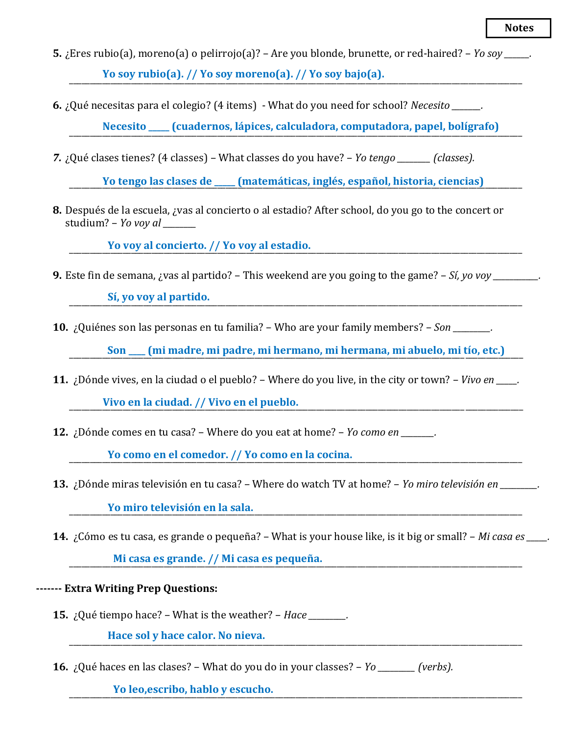- **5.** ¿Eres rubio(a), moreno(a) o pelirrojo(a)? Are you blonde, brunette, or red-haired? *Yo soy \_\_\_\_\_\_.* \_\_\_\_\_\_\_\_\_\_\_\_\_\_\_\_\_\_\_\_\_\_\_\_\_\_\_\_\_\_\_\_\_\_\_\_\_\_\_\_\_\_\_\_\_\_\_\_\_\_\_\_\_\_\_\_\_\_\_\_\_\_\_\_\_\_\_\_\_\_\_\_\_\_\_\_\_\_\_\_\_\_\_\_\_\_\_\_\_\_\_\_\_\_\_\_\_\_\_\_\_\_\_\_\_\_\_\_\_\_ **Yo soy rubio(a). // Yo soy moreno(a). // Yo soy bajo(a).**
- **6.** ¿Qué necesitas para el colegio? (4 items) What do you need for school? *Necesito \_\_\_\_\_\_\_.*

\_\_\_\_\_\_\_\_\_\_\_\_\_\_\_\_\_\_\_\_\_\_\_\_\_\_\_\_\_\_\_\_\_\_\_\_\_\_\_\_\_\_\_\_\_\_\_\_\_\_\_\_\_\_\_\_\_\_\_\_\_\_\_\_\_\_\_\_\_\_\_\_\_\_\_\_\_\_\_\_\_\_\_\_\_\_\_\_\_\_\_\_\_\_\_\_\_\_\_\_\_\_\_\_\_\_\_\_\_\_ **Necesito \_\_\_\_\_ (cuadernos, lápices, calculadora, computadora, papel, bolígrafo)**

*7.* ¿Qué clases tienes? (4 classes) – What classes do you have? – *Yo tengo \_\_\_\_\_\_\_\_ (classes).*

\_\_\_\_\_\_\_\_\_\_\_\_\_\_\_\_\_\_\_\_\_\_\_\_\_\_\_\_\_\_\_\_\_\_\_\_\_\_\_\_\_\_\_\_\_\_\_\_\_\_\_\_\_\_\_\_\_\_\_\_\_\_\_\_\_\_\_\_\_\_\_\_\_\_\_\_\_\_\_\_\_\_\_\_\_\_\_\_\_\_\_\_\_\_\_\_\_\_\_\_\_\_\_\_\_\_\_\_\_\_ **Yo tengo las clases de \_\_\_\_\_ (matemáticas, inglés, español, historia, ciencias)**

**8.** Después de la escuela, ¿vas al concierto o al estadio? After school, do you go to the concert or studium? – *Yo voy al \_\_\_\_\_\_\_\_*

\_\_\_\_\_\_\_\_\_\_\_\_\_\_\_\_\_\_\_\_\_\_\_\_\_\_\_\_\_\_\_\_\_\_\_\_\_\_\_\_\_\_\_\_\_\_\_\_\_\_\_\_\_\_\_\_\_\_\_\_\_\_\_\_\_\_\_\_\_\_\_\_\_\_\_\_\_\_\_\_\_\_\_\_\_\_\_\_\_\_\_\_\_\_\_\_\_\_\_\_\_\_\_\_\_\_\_\_\_\_ **Yo voy al concierto. // Yo voy al estadio.**

**9.** Este fin de semana, ¿vas al partido? – This weekend are you going to the game? – *Sí, yo voy \_\_\_\_\_\_\_\_\_\_\_.*

\_\_\_\_\_\_\_\_\_\_\_\_\_\_\_\_\_\_\_\_\_\_\_\_\_\_\_\_\_\_\_\_\_\_\_\_\_\_\_\_\_\_\_\_\_\_\_\_\_\_\_\_\_\_\_\_\_\_\_\_\_\_\_\_\_\_\_\_\_\_\_\_\_\_\_\_\_\_\_\_\_\_\_\_\_\_\_\_\_\_\_\_\_\_\_\_\_\_\_\_\_\_\_\_\_\_\_\_\_\_ **Sí, yo voy al partido.**

**10.** ¿Quiénes son las personas en tu familia? – Who are your family members? – *Son \_\_\_\_\_\_\_\_\_.*

Son \_\_\_\_ (mi madre, mi padre, mi hermano, mi hermana, mi abuelo, mi tío, etc.)

**11.** ¿Dónde vives, en la ciudad o el pueblo? – Where do you live, in the city or town? – *Vivo en \_\_\_\_\_.*

\_\_\_\_\_\_\_\_\_\_\_\_\_\_\_\_\_\_\_\_\_\_\_\_\_\_\_\_\_\_\_\_\_\_\_\_\_\_\_\_\_\_\_\_\_\_\_\_\_\_\_\_\_\_\_\_\_\_\_\_\_\_\_\_\_\_\_\_\_\_\_\_\_\_\_\_\_\_\_\_\_\_\_\_\_\_\_\_\_\_\_\_\_\_\_\_\_\_\_\_\_\_\_\_\_\_\_\_\_\_ **Vivo en la ciudad. // Vivo en el pueblo.**

**12.** ¿Dónde comes en tu casa? – Where do you eat at home? – *Yo como en \_\_\_\_\_\_\_\_.*

\_\_\_\_\_\_\_\_\_\_\_\_\_\_\_\_\_\_\_\_\_\_\_\_\_\_\_\_\_\_\_\_\_\_\_\_\_\_\_\_\_\_\_\_\_\_\_\_\_\_\_\_\_\_\_\_\_\_\_\_\_\_\_\_\_\_\_\_\_\_\_\_\_\_\_\_\_\_\_\_\_\_\_\_\_\_\_\_\_\_\_\_\_\_\_\_\_\_\_\_\_\_\_\_\_\_\_\_\_\_ **Yo como en el comedor. // Yo como en la cocina.**

**13.** ¿Dónde miras televisión en tu casa? – Where do watch TV at home? – *Yo miro televisión en \_\_\_\_\_\_\_\_\_.*

\_\_\_\_\_\_\_\_\_\_\_\_\_\_\_\_\_\_\_\_\_\_\_\_\_\_\_\_\_\_\_\_\_\_\_\_\_\_\_\_\_\_\_\_\_\_\_\_\_\_\_\_\_\_\_\_\_\_\_\_\_\_\_\_\_\_\_\_\_\_\_\_\_\_\_\_\_\_\_\_\_\_\_\_\_\_\_\_\_\_\_\_\_\_\_\_\_\_\_\_\_\_\_\_\_\_\_\_\_\_ **Yo miro televisión en la sala.**

**14.** ¿Cómo es tu casa, es grande o pequeña? – What is your house like, is it big or small? – *Mi casa es \_\_\_\_\_.*

\_\_\_\_\_\_\_\_\_\_\_\_\_\_\_\_\_\_\_\_\_\_\_\_\_\_\_\_\_\_\_\_\_\_\_\_\_\_\_\_\_\_\_\_\_\_\_\_\_\_\_\_\_\_\_\_\_\_\_\_\_\_\_\_\_\_\_\_\_\_\_\_\_\_\_\_\_\_\_\_\_\_\_\_\_\_\_\_\_\_\_\_\_\_\_\_\_\_\_\_\_\_\_\_\_\_\_\_\_\_ **Mi casa es grande. // Mi casa es pequeña.**

**------- Extra Writing Prep Questions:**

**15.** ¿Qué tiempo hace? – What is the weather? – *Hace \_\_\_\_\_\_\_\_\_.*

\_\_\_\_\_\_\_\_\_\_\_\_\_\_\_\_\_\_\_\_\_\_\_\_\_\_\_\_\_\_\_\_\_\_\_\_\_\_\_\_\_\_\_\_\_\_\_\_\_\_\_\_\_\_\_\_\_\_\_\_\_\_\_\_\_\_\_\_\_\_\_\_\_\_\_\_\_\_\_\_\_\_\_\_\_\_\_\_\_\_\_\_\_\_\_\_\_\_\_\_\_\_\_\_\_\_\_\_\_\_ **Hace sol y hace calor. No nieva.**

**16.** ¿Qué haces en las clases? – What do you do in your classes? – *Yo \_\_\_\_\_\_\_\_\_ (verbs).*

\_\_\_\_\_\_\_\_\_\_\_\_\_\_\_\_\_\_\_\_\_\_\_\_\_\_\_\_\_\_\_\_\_\_\_\_\_\_\_\_\_\_\_\_\_\_\_\_\_\_\_\_\_\_\_\_\_\_\_\_\_\_\_\_\_\_\_\_\_\_\_\_\_\_\_\_\_\_\_\_\_\_\_\_\_\_\_\_\_\_\_\_\_\_\_\_\_\_\_\_\_\_\_\_\_\_\_\_\_\_ **Yo leo,escribo, hablo y escucho.**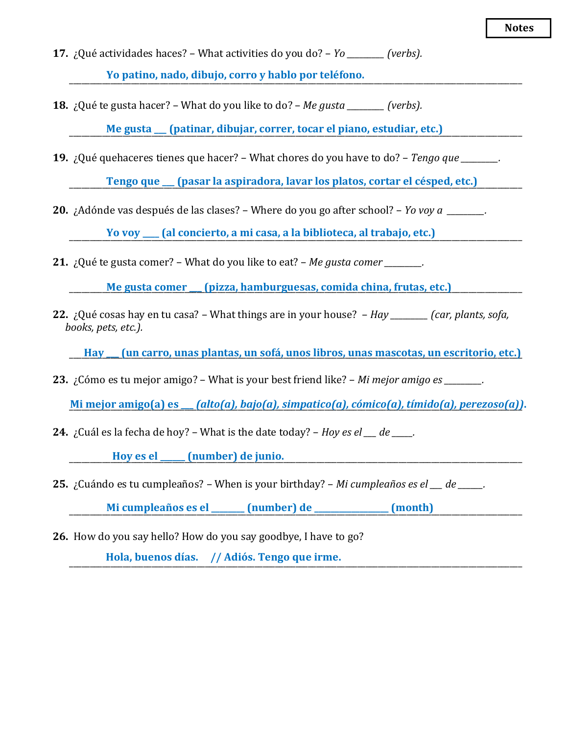- **17.** ¿Qué actividades haces? What activities do you do? *Yo \_\_\_\_\_\_\_\_\_ (verbs).* \_\_\_\_\_\_\_\_\_\_\_\_\_\_\_\_\_\_\_\_\_\_\_\_\_\_\_\_\_\_\_\_\_\_\_\_\_\_\_\_\_\_\_\_\_\_\_\_\_\_\_\_\_\_\_\_\_\_\_\_\_\_\_\_\_\_\_\_\_\_\_\_\_\_\_\_\_\_\_\_\_\_\_\_\_\_\_\_\_\_\_\_\_\_\_\_\_\_\_\_\_\_\_\_\_\_\_\_\_\_ **Yo patino, nado, dibujo, corro y hablo por teléfono.**
- **18.** ¿Qué te gusta hacer? What do you like to do? *Me gusta \_\_\_\_\_\_\_\_\_ (verbs).*

\_\_\_\_\_\_\_\_\_\_\_\_\_\_\_\_\_\_\_\_\_\_\_\_\_\_\_\_\_\_\_\_\_\_\_\_\_\_\_\_\_\_\_\_\_\_\_\_\_\_\_\_\_\_\_\_\_\_\_\_\_\_\_\_\_\_\_\_\_\_\_\_\_\_\_\_\_\_\_\_\_\_\_\_\_\_\_\_\_\_\_\_\_\_\_\_\_\_\_\_\_\_\_\_\_\_\_\_\_\_ **Me gusta \_\_\_ (patinar, dibujar, correr, tocar el piano, estudiar, etc.)**

**19.** ¿Qué quehaceres tienes que hacer? – What chores do you have to do? – *Tengo que \_\_\_\_\_\_\_\_\_.*

\_\_\_\_\_\_\_\_\_\_\_\_\_\_\_\_\_\_\_\_\_\_\_\_\_\_\_\_\_\_\_\_\_\_\_\_\_\_\_\_\_\_\_\_\_\_\_\_\_\_\_\_\_\_\_\_\_\_\_\_\_\_\_\_\_\_\_\_\_\_\_\_\_\_\_\_\_\_\_\_\_\_\_\_\_\_\_\_\_\_\_\_\_\_\_\_\_\_\_\_\_\_\_\_\_\_\_\_\_\_ **Tengo que \_\_\_ (pasar la aspiradora, lavar los platos, cortar el césped, etc.)**

**20.** ¿Adónde vas después de las clases? – Where do you go after school? – *Yo voy a \_\_\_\_\_\_\_\_\_.*

\_\_\_\_\_\_\_\_\_\_\_\_\_\_\_\_\_\_\_\_\_\_\_\_\_\_\_\_\_\_\_\_\_\_\_\_\_\_\_\_\_\_\_\_\_\_\_\_\_\_\_\_\_\_\_\_\_\_\_\_\_\_\_\_\_\_\_\_\_\_\_\_\_\_\_\_\_\_\_\_\_\_\_\_\_\_\_\_\_\_\_\_\_\_\_\_\_\_\_\_\_\_\_\_\_\_\_\_\_\_ **Yo voy \_\_\_\_ (al concierto, a mi casa, a la biblioteca, al trabajo, etc.)**

**21.** ¿Qué te gusta comer? – What do you like to eat? – *Me gusta comer \_\_\_\_\_\_\_\_\_.*

\_\_\_\_\_\_\_\_\_\_\_\_\_\_\_\_\_\_\_\_\_\_\_\_\_\_\_\_\_\_\_\_\_\_\_\_\_\_\_\_\_\_\_\_\_\_\_\_\_\_\_\_\_\_\_\_\_\_\_\_\_\_\_\_\_\_\_\_\_\_\_\_\_\_\_\_\_\_\_\_\_\_\_\_\_\_\_\_\_\_\_\_\_\_\_\_\_\_\_\_\_\_\_\_\_\_\_\_\_\_ **Me gusta comer \_\_\_ (pizza, hamburguesas, comida china, frutas, etc.)**

**22.** ¿Qué cosas hay en tu casa? – What things are in your house? – *Hay \_\_\_\_\_\_\_\_\_ (car, plants, sofa, books, pets, etc.).*

**Hay \_\_ (un carro, unas plantas, un sofá, unos libros, unas mascotas, un escritorio, etc.)** 

**23.** ¿Cómo es tu mejor amigo? – What is your best friend like? – *Mi mejor amigo es \_\_\_\_\_\_\_\_\_.*

Mi mejor amigo(a) es \_\_ (alto(a), bajo(a), simpatico(a), cómico(a), tímido(a), perezoso(a)).

**24.** ¿Cuál es la fecha de hoy? – What is the date today? – *Hoy es el \_\_\_ de \_\_\_\_\_.*

\_\_\_\_\_\_\_\_\_\_\_\_\_\_\_\_\_\_\_\_\_\_\_\_\_\_\_\_\_\_\_\_\_\_\_\_\_\_\_\_\_\_\_\_\_\_\_\_\_\_\_\_\_\_\_\_\_\_\_\_\_\_\_\_\_\_\_\_\_\_\_\_\_\_\_\_\_\_\_\_\_\_\_\_\_\_\_\_\_\_\_\_\_\_\_\_\_\_\_\_\_\_\_\_\_\_\_\_\_\_ **Hoy es el \_\_\_\_\_\_ (number) de junio.**

**25.** ¿Cuándo es tu cumpleaños? – When is your birthday? – *Mi cumpleaños es el \_\_\_ de \_\_\_\_\_\_.*

\_\_\_\_\_\_\_\_\_\_\_\_\_\_\_\_\_\_\_\_\_\_\_\_\_\_\_\_\_\_\_\_\_\_\_\_\_\_\_\_\_\_\_\_\_\_\_\_\_\_\_\_\_\_\_\_\_\_\_\_\_\_\_\_\_\_\_\_\_\_\_\_\_\_\_\_\_\_\_\_\_\_\_\_\_\_\_\_\_\_\_\_\_\_\_\_\_\_\_\_\_\_\_\_\_\_\_\_\_\_ **Mi cumpleaños es el \_\_\_\_\_\_\_\_ (number) de \_\_\_\_\_\_\_\_\_\_\_\_\_\_\_\_\_\_ (month)**

**26.** How do you say hello? How do you say goodbye, I have to go?

\_\_\_\_\_\_\_\_\_\_\_\_\_\_\_\_\_\_\_\_\_\_\_\_\_\_\_\_\_\_\_\_\_\_\_\_\_\_\_\_\_\_\_\_\_\_\_\_\_\_\_\_\_\_\_\_\_\_\_\_\_\_\_\_\_\_\_\_\_\_\_\_\_\_\_\_\_\_\_\_\_\_\_\_\_\_\_\_\_\_\_\_\_\_\_\_\_\_\_\_\_\_\_\_\_\_\_\_\_\_ **Hola, buenos días. // Adiós. Tengo que irme.**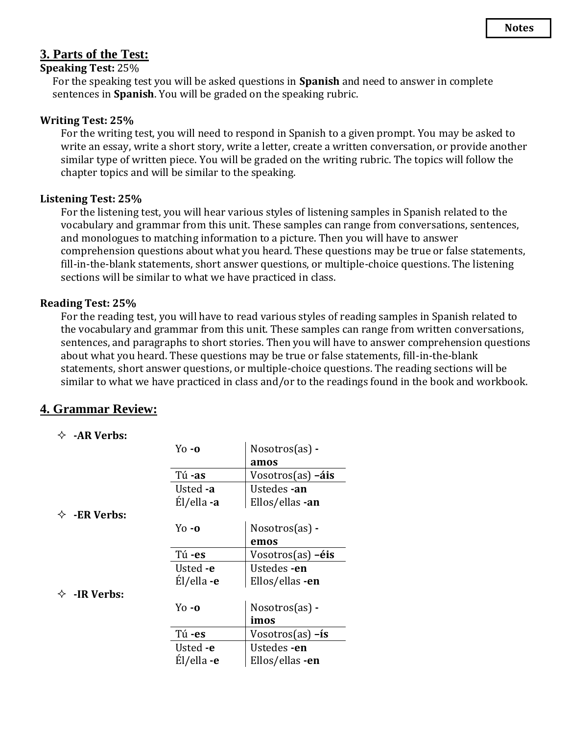### **3. Parts of the Test:**

#### **Speaking Test:** 25%

For the speaking test you will be asked questions in **Spanish** and need to answer in complete sentences in **Spanish**. You will be graded on the speaking rubric.

#### **Writing Test: 25%**

For the writing test, you will need to respond in Spanish to a given prompt. You may be asked to write an essay, write a short story, write a letter, create a written conversation, or provide another similar type of written piece. You will be graded on the writing rubric. The topics will follow the chapter topics and will be similar to the speaking.

#### **Listening Test: 25%**

For the listening test, you will hear various styles of listening samples in Spanish related to the vocabulary and grammar from this unit. These samples can range from conversations, sentences, and monologues to matching information to a picture. Then you will have to answer comprehension questions about what you heard. These questions may be true or false statements, fill-in-the-blank statements, short answer questions, or multiple-choice questions. The listening sections will be similar to what we have practiced in class.

#### **Reading Test: 25%**

For the reading test, you will have to read various styles of reading samples in Spanish related to the vocabulary and grammar from this unit. These samples can range from written conversations, sentences, and paragraphs to short stories. Then you will have to answer comprehension questions about what you heard. These questions may be true or false statements, fill-in-the-blank statements, short answer questions, or multiple-choice questions. The reading sections will be similar to what we have practiced in class and/or to the readings found in the book and workbook.

### **4. Grammar Review:**

#### **-AR Verbs:**

-<br>-<br>-<br>-<br><br><br><br><br><br><br><br><br><br><br><br><br><br><br><br><br><br><br><br><br><br><br><br><br><br>

**- ◇ →** 

|                  | $Yo - O$                         | $N$ osotros $(as)$ - |
|------------------|----------------------------------|----------------------|
|                  |                                  | amos                 |
|                  | Tú-as                            | Vosotros(as) -áis    |
|                  | Usted -a                         | Ustedes -an          |
|                  | Él/ella -a                       | Ellos/ellas -an      |
| ER Verbs:        |                                  |                      |
|                  | $\gamma$ <sub>0</sub> - $\alpha$ | $N$ osotros $(as)$ - |
|                  |                                  | emos                 |
|                  | Tú-es                            | $V$ osotros(as) -éis |
|                  | Usted -e                         | Ustedes -en          |
|                  | Él/ella -e                       | Ellos/ellas -en      |
| <b>IR Verbs:</b> |                                  |                      |
|                  | $\gamma$ <sub>0</sub> - $\alpha$ | Nosotros(as) -       |
|                  |                                  | imos                 |
|                  | Tú-es                            | Vosotros $(as) - is$ |
|                  | Usted -e                         | Ustedes -en          |
|                  | El/ella -e                       | Ellos/ellas -en      |
|                  |                                  |                      |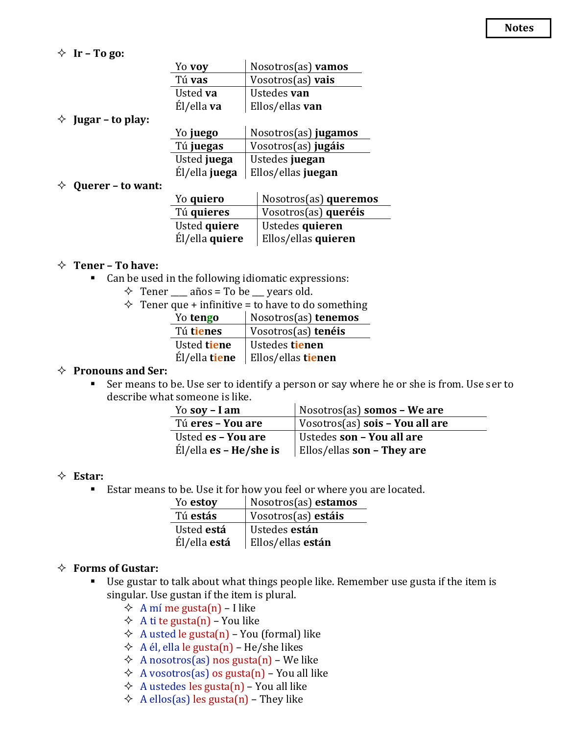$\Diamond$  **Ir** – **To go:** 

| Yo voy     | Nosotros(as) vamos |
|------------|--------------------|
| Tú vas     | Vosotros(as) vais  |
| Usted va   | Ustedes <b>van</b> |
| Él/ella va | Ellos/ellas van    |
|            |                    |

#### **Jugar – to play:**

| Yo juego      | Nosotros(as) jugamos |
|---------------|----------------------|
| Tú juegas     | Vosotros(as) jugáis  |
| Usted juega   | Ustedes juegan       |
| Él/ella juega | Ellos/ellas juegan   |

#### **Querer – to want:**

| Yo quiero      | Nosotros(as) queremos |
|----------------|-----------------------|
| Tú quieres     | Vosotros(as) queréis  |
| Usted quiere   | Ustedes quieren       |
| Él/ella quiere | Ellos/ellas quieren   |

#### **Tener – To have:**

- Can be used in the following idiomatic expressions:
	- $\div$  Tener años = To be vears old.
	- $\Diamond$  Tener que + infinitive = to have to do something

| Yo tengo      | Nosotros(as) tenemos |
|---------------|----------------------|
| Tú tienes     | Vosotros(as) tenéis  |
| Usted tiene   | Ustedes tienen       |
| Él/ella tiene | Ellos/ellas tienen   |

#### **Pronouns and Ser:**

■ Ser means to be. Use ser to identify a person or say where he or she is from. Use ser to describe what someone is like.

| Yo soy $-$ I am          | Nosotros(as) somos - We are            |  |
|--------------------------|----------------------------------------|--|
| Tú eres - You are        | Vosotros(as) <b>sois - You all are</b> |  |
| Usted es - You are       | Ustedes son - You all are              |  |
| $El/ella$ es – He/she is | Ellos/ellas son – They are             |  |

#### **Estar:**

■ Estar means to be. Use it for how you feel or where you are located.

| Yo estoy            | Nosotros(as) estamos |
|---------------------|----------------------|
| Tú estás            | Vosotros(as) estáis  |
| Usted está          | Ustedes están        |
| Él/ella <b>está</b> | Ellos/ellas están    |

#### **Forms of Gustar:**

- Use gustar to talk about what things people like. Remember use gusta if the item is singular. Use gustan if the item is plural.
	- $\Diamond$  A mí me gusta(n) I like
	- $\triangle$  A ti te gusta(n) You like
	- $\Diamond$  A usted le gusta(n) You (formal) like
	- $\triangle$  A él, ella le gusta(n) He/she likes
	- $\Diamond$  A nosotros(as) nos gusta(n) We like
	- $\Diamond$  A vosotros(as) os gusta(n) You all like
	- $\triangle$  A ustedes les gusta(n) You all like
	- $\triangle$  A ellos(as) les gusta(n) They like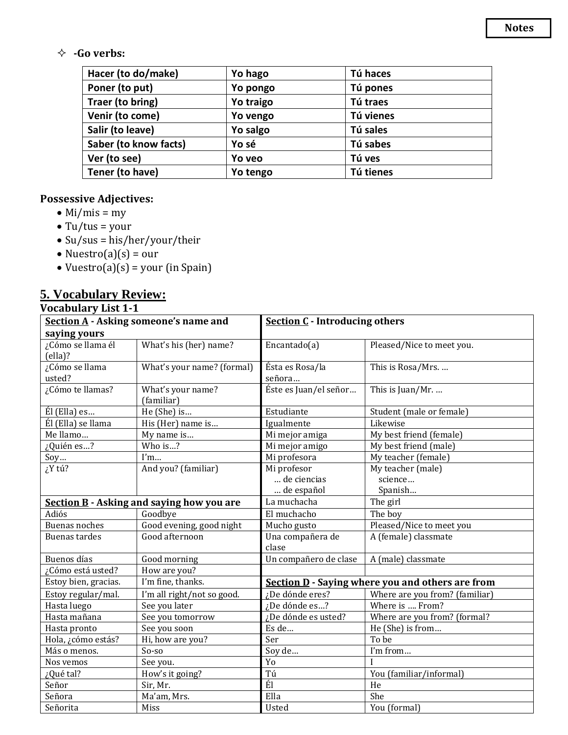### **-Go verbs:**

| Hacer (to do/make)    | Yo hago   | Tú haces  |
|-----------------------|-----------|-----------|
| Poner (to put)        | Yo pongo  | Tú pones  |
| Traer (to bring)      | Yo traigo | Tú traes  |
| Venir (to come)       | Yo vengo  | Tú vienes |
| Salir (to leave)      | Yo salgo  | Tú sales  |
| Saber (to know facts) | Yo sé     | Tú sabes  |
| Ver (to see)          | Yo veo    | Tú ves    |
| Tener (to have)       | Yo tengo  | Tú tienes |

### **Possessive Adjectives:**

- Mi/mis = my
- $\bullet$  Tu/tus = your
- Su/sus = his/her/your/their
- Nuestro(a)(s) = our
- Vuestro(a)(s) = your (in Spain)

## **5. Vocabulary Review:**

| <b>Vocabulary List 1-1</b> |
|----------------------------|
|                            |

| Section A - Asking someone's name and  |                                                  | <b>Section C</b> - Introducing others                   |                                |  |
|----------------------------------------|--------------------------------------------------|---------------------------------------------------------|--------------------------------|--|
| saying yours                           |                                                  |                                                         |                                |  |
| ¿Cómo se llama él<br>$\text{(ella)}$ ? | What's his (her) name?                           | Encantado $(a)$                                         | Pleased/Nice to meet you.      |  |
| ¿Cómo se llama                         | What's your name? (formal)                       | Ésta es Rosa/la                                         | This is Rosa/Mrs.              |  |
| usted?                                 |                                                  | señora                                                  |                                |  |
| ¿Cómo te llamas?                       | What's your name?<br>(familiar)                  | Éste es Juan/el señor                                   | This is Juan/Mr.               |  |
| Él (Ella) es                           | He (She) is                                      | Estudiante                                              | Student (male or female)       |  |
| Él (Ella) se llama                     | His (Her) name is                                | Igualmente                                              | Likewise                       |  |
| Me llamo                               | My name is                                       | Mi mejor amiga                                          | My best friend (female)        |  |
| ¿Quién es?                             | Who is?                                          | Mi mejor amigo                                          | My best friend (male)          |  |
| Soy                                    | l'm                                              | Mi profesora                                            | My teacher (female)            |  |
| ¿Y tú?                                 | And you? (familiar)                              | Mi profesor                                             | My teacher (male)              |  |
|                                        |                                                  | de ciencias                                             | science                        |  |
|                                        |                                                  | de español                                              | Spanish                        |  |
|                                        | <b>Section B</b> - Asking and saying how you are | La muchacha                                             | The girl                       |  |
| Adiós                                  | Goodbye                                          | El muchacho                                             | The boy                        |  |
| <b>Buenas noches</b>                   | Good evening, good night                         | Mucho gusto                                             | Pleased/Nice to meet you       |  |
| Buenas tardes                          | Good afternoon                                   | Una compañera de                                        | A (female) classmate           |  |
|                                        |                                                  | clase                                                   |                                |  |
| Buenos días                            | Good morning                                     | Un compañero de clase<br>A (male) classmate             |                                |  |
| ¿Cómo está usted?<br>How are you?      |                                                  |                                                         |                                |  |
| Estoy bien, gracias.                   | I'm fine, thanks.                                | <b>Section D</b> - Saying where you and others are from |                                |  |
| Estoy regular/mal.                     | I'm all right/not so good.                       | ¿De dónde eres?                                         | Where are you from? (familiar) |  |
| Hasta luego                            | See you later                                    | ¿De dónde es?                                           | Where is  From?                |  |
| Hasta mañana                           | See you tomorrow                                 | ¿De dónde es usted?                                     | Where are you from? (formal?   |  |
| Hasta pronto                           | See you soon                                     | Es de                                                   | He (She) is from               |  |
| Hola, ¿cómo estás?                     | Hi, how are you?                                 | Ser                                                     | To be                          |  |
| Más o menos.                           | So-so                                            | Soy de                                                  | I'm from                       |  |
| Nos vemos                              | See you.                                         | Yo                                                      |                                |  |
| ¿Qué tal?                              | How's it going?                                  | Tú                                                      | You (familiar/informal)        |  |
| Señor                                  | Sir, Mr.                                         | Él                                                      | He                             |  |
| Señora                                 | Ma'am, Mrs.                                      | Ella                                                    | She                            |  |
| Señorita                               | Miss                                             | Usted                                                   | You (formal)                   |  |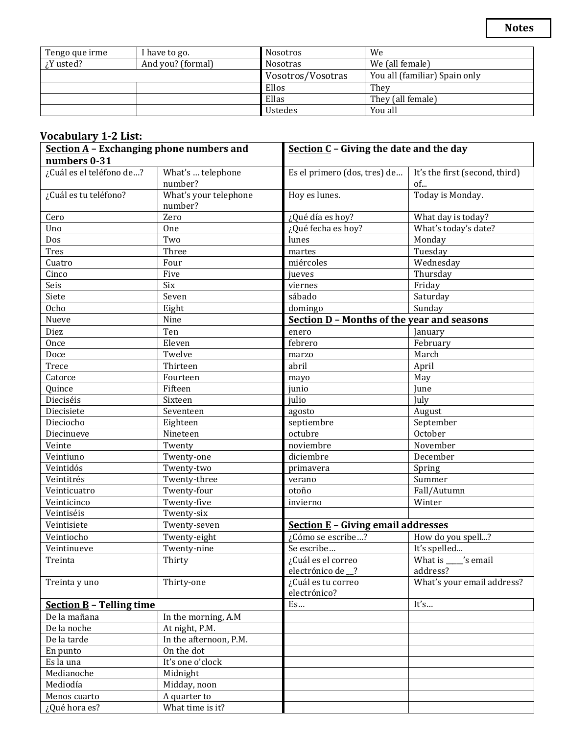| Tengo que irme  | I have to go.     | We<br><b>Nosotros</b>              |                               |
|-----------------|-------------------|------------------------------------|-------------------------------|
| $\chi$ Y usted? | And you? (formal) | We (all female)<br><b>Nosotras</b> |                               |
|                 |                   | Vosotros/Vosotras                  | You all (familiar) Spain only |
|                 |                   | Ellos                              | They                          |
|                 |                   | Ellas                              | They (all female)             |
|                 |                   | <b>Ustedes</b>                     | You all                       |

#### **Vocabulary 1-2 List:**

| <b>Section A</b> - Exchanging phone numbers and |                                  | Section $C$ - Giving the date and the day         |                                      |  |
|-------------------------------------------------|----------------------------------|---------------------------------------------------|--------------------------------------|--|
| numbers 0-31                                    |                                  |                                                   |                                      |  |
| ¿Cuál es el teléfono de?                        | What's  telephone<br>number?     | Es el primero (dos, tres) de                      | It's the first (second, third)<br>of |  |
| ¿Cuál es tu teléfono?                           | What's your telephone<br>number? | Hoy es lunes.                                     | Today is Monday.                     |  |
| Cero                                            | Zero                             | ¿Qué día es hoy?                                  | What day is today?                   |  |
| Uno                                             | <b>One</b>                       | ¿Qué fecha es hoy?                                | What's today's date?                 |  |
| Dos                                             | Two                              | lunes                                             | Monday                               |  |
| <b>Tres</b>                                     | Three                            | martes                                            | Tuesday                              |  |
| Cuatro                                          | Four                             | miércoles                                         | Wednesday                            |  |
| Cinco                                           | Five                             | jueves                                            | Thursday                             |  |
| Seis                                            | Six                              | viernes                                           | Friday                               |  |
| Siete                                           | Seven                            | sábado                                            | Saturday                             |  |
| <b>Ocho</b>                                     | Eight                            | domingo                                           | Sunday                               |  |
| Nueve                                           | Nine                             | <b>Section D - Months of the year and seasons</b> |                                      |  |
| Diez                                            | Ten                              | enero                                             | January                              |  |
| Once                                            | Eleven                           | febrero                                           | February                             |  |
| Doce                                            | Twelve                           | marzo                                             | March                                |  |
| Trece                                           | Thirteen                         | abril                                             | April                                |  |
| Catorce                                         | Fourteen                         | mayo                                              | May                                  |  |
| Quince                                          | Fifteen                          | junio                                             | June                                 |  |
| Dieciséis                                       | Sixteen                          | julio                                             | July                                 |  |
| Diecisiete                                      | Seventeen                        | agosto                                            | August                               |  |
| Dieciocho                                       | Eighteen                         | septiembre                                        | September                            |  |
| Diecinueve                                      | Nineteen                         | octubre                                           | October                              |  |
| Veinte                                          | Twenty                           | noviembre                                         | November                             |  |
| Veintiuno                                       | Twenty-one                       | diciembre                                         | December                             |  |
| Veintidós                                       | Twenty-two                       | primavera                                         | Spring                               |  |
| Veintitrés                                      | Twenty-three                     | verano                                            | Summer                               |  |
| Veinticuatro                                    | Twenty-four                      | otoño                                             | Fall/Autumn                          |  |
| Veinticinco                                     | Twenty-five                      | invierno                                          | Winter                               |  |
| Veintiséis                                      | Twenty-six                       |                                                   |                                      |  |
| Veintisiete                                     | Twenty-seven                     | <b>Section E</b> - Giving email addresses         |                                      |  |
| Veintiocho                                      | Twenty-eight                     | ¿Cómo se escribe?                                 | How do you spell?                    |  |
| Veintinueve                                     | Twenty-nine                      | Se escribe                                        | It's spelled                         |  |
| Treinta                                         | Thirty                           | ¿Cuál es el correo                                | What is _____'s email                |  |
|                                                 |                                  | electrónico de _?                                 | address?                             |  |
| Treinta y uno                                   | Thirty-one                       | ¿Cuál es tu correo<br>electrónico?                | What's your email address?           |  |
| <b>Section B - Telling time</b>                 |                                  | Es                                                | It's                                 |  |
| De la mañana<br>In the morning, A.M             |                                  |                                                   |                                      |  |
| De la noche                                     | At night, P.M.                   |                                                   |                                      |  |
| De la tarde                                     | In the afternoon, P.M.           |                                                   |                                      |  |
| En punto                                        | On the dot                       |                                                   |                                      |  |
| Es la una                                       | It's one o'clock                 |                                                   |                                      |  |
| Medianoche                                      | Midnight                         |                                                   |                                      |  |
| Mediodía                                        | Midday, noon                     |                                                   |                                      |  |
| Menos cuarto                                    | A quarter to                     |                                                   |                                      |  |
| ¿Qué hora es?                                   | What time is it?                 |                                                   |                                      |  |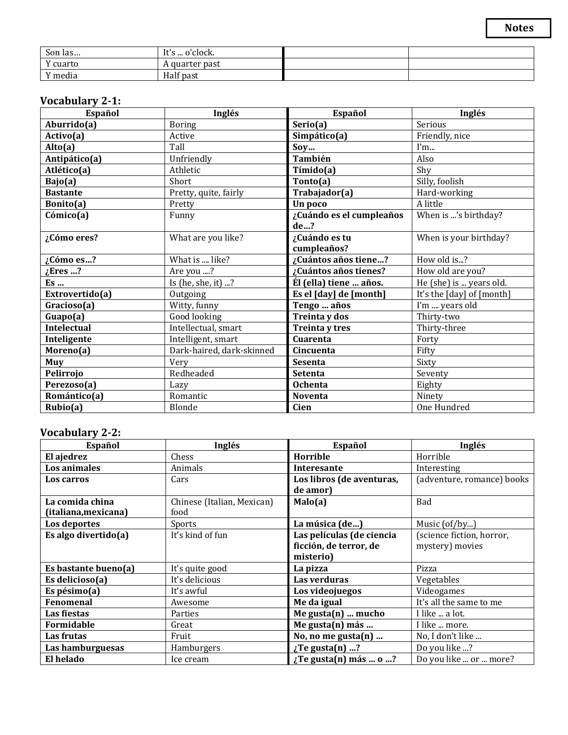| Son las  | It's  o'clock. |  |
|----------|----------------|--|
| Y cuarto | A quarter past |  |
| Y media  | Half past      |  |

### **Vocabulary 2-1:**

| Español            | Inglés                    | Español                  | Inglés                    |
|--------------------|---------------------------|--------------------------|---------------------------|
| Aburrido(a)        | <b>Boring</b>             | Serio(a)                 | Serious                   |
| Activo(a)          | Active                    | Simpático(a)             | Friendly, nice            |
| Alto(a)            | Tall                      | Soy                      | I'm                       |
| Antipático(a)      | Unfriendly                | También                  | Also                      |
| Atlético(a)        | Athletic                  | Tímido(a)                | Shy                       |
| Bajo(a)            | <b>Short</b>              | Tonto(a)                 | Silly, foolish            |
| <b>Bastante</b>    | Pretty, quite, fairly     | Trabajador(a)            | Hard-working              |
| Bonito(a)          | Pretty                    | Un poco                  | A little                  |
| Cómico(a)          | Funny                     | ¿Cuándo es el cumpleaños | When is 's birthday?      |
|                    |                           | de?                      |                           |
| ¿Cómo eres?        | What are you like?        | ¿Cuándo es tu            | When is your birthday?    |
|                    |                           | cumpleaños?              |                           |
| ¿Cómo es?          | What is  like?            | ¿Cuántos años tiene?     | How old is?               |
| Eres ?             | Are you ?                 | ¿Cuántos años tienes?    | How old are you?          |
| Es                 | Is (he, she, it) ?        | Él (ella) tiene  años.   | He (she) is  years old.   |
| Extrovertido(a)    | Outgoing                  | Es el [day] de [month]   | It's the [day] of [month] |
| Gracioso(a)        | Witty, funny              | Tengo  años              | I'm  years old            |
| Guapo(a)           | Good looking              | Treinta y dos            | Thirty-two                |
| <b>Intelectual</b> | Intellectual, smart       | Treinta y tres           | Thirty-three              |
| Inteligente        | Intelligent, smart        | Cuarenta                 | Forty                     |
| Moreno(a)          | Dark-haired, dark-skinned | Cincuenta                | Fifty                     |
| Muy                | Very                      | <b>Sesenta</b>           | Sixty                     |
| Pelirrojo          | Redheaded                 | <b>Setenta</b>           | Seventy                   |
| Perezoso(a)        | Lazy                      | <b>Ochenta</b>           | Eighty                    |
| Romántico(a)       | Romantic                  | Noventa                  | Ninety                    |
| Rubio(a)           | Blonde                    | <b>Cien</b>              | One Hundred               |

### **Vocabulary 2-2:**

| Español              | Inglés                     | Español                     | Inglés                     |
|----------------------|----------------------------|-----------------------------|----------------------------|
| El ajedrez           | Chess                      | Horrible                    | Horrible                   |
| Los animales         | Animals                    | Interesante                 | Interesting                |
| Los carros           | Cars                       | Los libros (de aventuras,   | (adventure, romance) books |
|                      |                            | de amor)                    |                            |
| La comida china      | Chinese (Italian, Mexican) | Malo(a)                     | Bad                        |
| (italiana, mexicana) | food                       |                             |                            |
| Los deportes         | Sports                     | La música (de)              | Music (of/by)              |
| Es algo divertido(a) | It's kind of fun           | Las películas (de ciencia   | (science fiction, horror,  |
|                      |                            | ficción, de terror, de      | mystery) movies            |
|                      |                            | misterio)                   |                            |
| Es bastante bueno(a) | It's quite good            | La pizza                    | Pizza                      |
| Es delicioso(a)      | It's delicious             | Las verduras                | Vegetables                 |
| Es pésimo $(a)$      | It's awful                 | Los videojuegos             | Videogames                 |
| <b>Fenomenal</b>     | Awesome                    | Me da igual                 | It's all the same to me    |
| Las fiestas          | Parties                    | Me gusta $(n)$ mucho        | I like  a lot.             |
| Formidable           | Great                      | Me gusta(n) más             | I like  more.              |
| Las frutas           | Fruit                      | No, no me gusta(n)          | No, I don't like           |
| Las hamburguesas     | Hamburgers                 | $\chi$ Te gusta(n) ?        | Do you like ?              |
| El helado            | Ice cream                  | $\chi$ Te gusta(n) más  o ? | Do you like  or  more?     |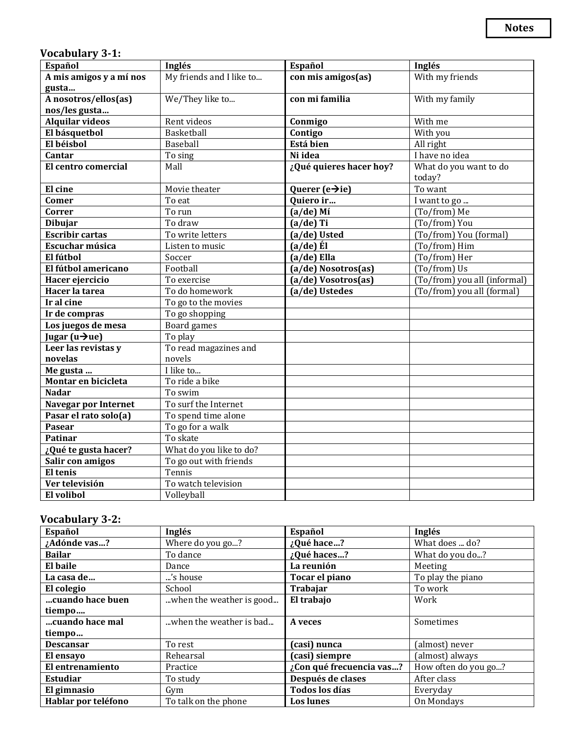### **Vocabulary 3-1:**

| Español                      | Inglés                   | Español                       | Inglés                       |
|------------------------------|--------------------------|-------------------------------|------------------------------|
| A mis amigos y a mí nos      | My friends and I like to | con mis amigos(as)            | With my friends              |
| gusta                        |                          |                               |                              |
| A nosotros/ellos(as)         | We/They like to          | con mi familia                | With my family               |
| nos/les gusta                |                          |                               |                              |
| <b>Alquilar videos</b>       | Rent videos              | Conmigo                       | With me                      |
| El básquetbol                | Basketball               | Contigo                       | With you                     |
| El béisbol                   | Baseball                 | Está bien                     | All right                    |
| Cantar                       | To sing                  | Ni idea                       | I have no idea               |
| El centro comercial          | Mall                     | ¿Qué quieres hacer hoy?       | What do you want to do       |
|                              |                          |                               | today?                       |
| El cine                      | Movie theater            | Querer ( $e \rightarrow ie$ ) | To want                      |
| Comer                        | To eat                   | Quiero ir                     | I want to go                 |
| Correr                       | To run                   | $(a/de)$ Mí                   | (To/from) Me                 |
| <b>Dibujar</b>               | To draw                  | $(a/de)$ Ti                   | (To/from) You                |
| <b>Escribir cartas</b>       | To write letters         | (a/de) Usted                  | (To/from) You (formal)       |
| Escuchar música              | Listen to music          | $(a/de)$ El                   | (To/from) Him                |
| El fútbol                    | Soccer                   | $(a/de)$ Ella                 | (To/from) Her                |
| El fútbol americano          | Football                 | (a/de) Nosotros(as)           | (To/from) Us                 |
| Hacer ejercicio              | To exercise              | (a/de) Vosotros(as)           | (To/from) you all (informal) |
| Hacer la tarea               | To do homework           | (a/de) Ustedes                | (To/from) you all (formal)   |
| Ir al cine                   | To go to the movies      |                               |                              |
| Ir de compras                | To go shopping           |                               |                              |
| Los juegos de mesa           | Board games              |                               |                              |
| Jugar ( $u \rightarrow ue$ ) | To play                  |                               |                              |
| Leer las revistas y          | To read magazines and    |                               |                              |
| novelas                      | novels                   |                               |                              |
| Me gusta                     | I like to                |                               |                              |
| Montar en bicicleta          | To ride a bike           |                               |                              |
| <b>Nadar</b>                 | To swim                  |                               |                              |
| <b>Navegar por Internet</b>  | To surf the Internet     |                               |                              |
| Pasar el rato solo(a)        | To spend time alone      |                               |                              |
| <b>Pasear</b>                | To go for a walk         |                               |                              |
| <b>Patinar</b>               | To skate                 |                               |                              |
| ¿Qué te gusta hacer?         | What do you like to do?  |                               |                              |
| Salir con amigos             | To go out with friends   |                               |                              |
| El tenis                     | Tennis                   |                               |                              |
| Ver televisión               | To watch television      |                               |                              |
| El volibol                   | Volleyball               |                               |                              |

### **Vocabulary 3-2:**

| Español             | Inglés                   | Español                  | Inglés               |
|---------------------|--------------------------|--------------------------|----------------------|
| ¿Adónde vas?        | Where do you go?         | ¿Qué hace?               | What does  do?       |
| <b>Bailar</b>       | To dance                 | ¿Qué haces?              | What do you do?      |
| El baile            | Dance                    | La reunión               | Meeting              |
| La casa de          | s house                  | Tocar el piano           | To play the piano    |
| El colegio          | School                   | <b>Trabajar</b>          | To work              |
| cuando hace buen    | when the weather is good | El trabajo               | Work                 |
| tiempo              |                          |                          |                      |
| cuando hace mal     | when the weather is bad  | A veces                  | Sometimes            |
| tiempo              |                          |                          |                      |
| <b>Descansar</b>    | To rest                  | (casi) nunca             | (almost) never       |
| El ensayo           | Rehearsal                | (casi) siempre           | (almost) always      |
| El entrenamiento    | Practice                 | ¿Con qué frecuencia vas? | How often do you go? |
| <b>Estudiar</b>     | To study                 | Después de clases        | After class          |
| El gimnasio         | Gym                      | <b>Todos los días</b>    | Everyday             |
| Hablar por teléfono | To talk on the phone     | <b>Los lunes</b>         | On Mondays           |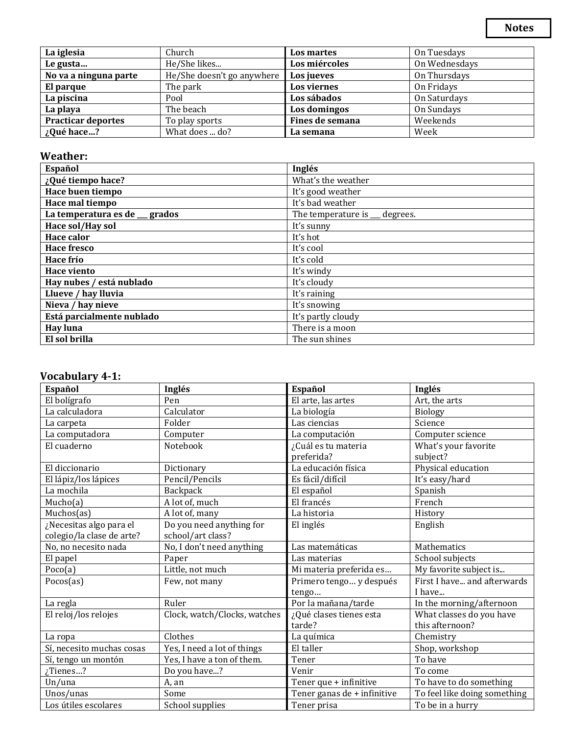| La iglesia                | Church                     | Los martes      | On Tuesdays   |
|---------------------------|----------------------------|-----------------|---------------|
| Le gusta                  | He/She likes               | Los miércoles   | On Wednesdays |
| No va a ninguna parte     | He/She doesn't go anywhere | Los jueves      | On Thursdays  |
| El parque                 | The park                   | Los viernes     | On Fridays    |
| La piscina                | Pool                       | Los sábados     | On Saturdays  |
| La playa                  | The beach                  | Los domingos    | On Sundays    |
| <b>Practicar deportes</b> | To play sports             | Fines de semana | Weekends      |
| ¿Qué hace?                | What does  do?             | La semana       | Week          |

### **Weather:**

| Español                        | Inglés                        |
|--------------------------------|-------------------------------|
| ¿Qué tiempo hace?              | What's the weather            |
| Hace buen tiempo               | It's good weather             |
| Hace mal tiempo                | It's bad weather              |
| La temperatura es de __ grados | The temperature is _ degrees. |
| Hace sol/Hay sol               | It's sunny                    |
| Hace calor                     | It's hot                      |
| <b>Hace fresco</b>             | It's cool                     |
| Hace frío                      | It's cold                     |
| Hace viento                    | It's windy                    |
| Hay nubes / está nublado       | It's cloudy                   |
| Llueve / hay lluvia            | It's raining                  |
| Nieva / hay nieve              | It's snowing                  |
| Está parcialmente nublado      | It's partly cloudy            |
| <b>Hay luna</b>                | There is a moon               |
| El sol brilla                  | The sun shines                |

## **Vocabulary 4-1:**

| Español                   | Inglés                       | Español                     | Inglés                       |
|---------------------------|------------------------------|-----------------------------|------------------------------|
| El bolígrafo              | Pen                          | El arte, las artes          | Art, the arts                |
| La calculadora            | Calculator                   | La biología                 | Biology                      |
| La carpeta                | Folder                       | Las ciencias                | Science                      |
| La computadora            | Computer                     | La computación              | Computer science             |
| El cuaderno               | Notebook                     | ¿Cuál es tu materia         | What's your favorite         |
|                           |                              | preferida?                  | subject?                     |
| El diccionario            | Dictionary                   | La educación física         | Physical education           |
| El lápiz/los lápices      | Pencil/Pencils               | Es fácil/difícil            | It's easy/hard               |
| La mochila                | Backpack                     | El español                  | Spanish                      |
| Mucho(a)                  | A lot of, much               | El francés                  | French                       |
| Muchos(as)                | A lot of, many               | La historia                 | History                      |
| ¿Necesitas algo para el   | Do you need anything for     | El inglés                   | English                      |
| colegio/la clase de arte? | school/art class?            |                             |                              |
| No, no necesito nada      | No, I don't need anything    | Las matemáticas             | <b>Mathematics</b>           |
| El papel                  | Paper                        | Las materias                | School subjects              |
| Poco(a)                   | Little, not much             | Mi materia preferida es     | My favorite subject is       |
| Pocos(as)                 | Few, not many                | Primero tengo y después     | First I have and afterwards  |
|                           |                              | tengo                       | I have                       |
| La regla                  | Ruler                        | Por la mañana/tarde         | In the morning/afternoon     |
| El reloj/los relojes      | Clock, watch/Clocks, watches | ¿Qué clases tienes esta     | What classes do you have     |
|                           |                              | tarde?                      | this afternoon?              |
| La ropa                   | Clothes                      | La química                  | Chemistry                    |
| Sí, necesito muchas cosas | Yes, I need a lot of things  | El taller                   | Shop, workshop               |
| Sí, tengo un montón       | Yes, I have a ton of them.   | Tener                       | To have                      |
| Tienes?                   | Do you have?                 | Venir                       | To come                      |
| Un/una                    | A, an                        | Tener que + infinitive      | To have to do something      |
| Unos/unas                 | Some                         | Tener ganas de + infinitive | To feel like doing something |
| Los útiles escolares      | School supplies              | Tener prisa                 | To be in a hurry             |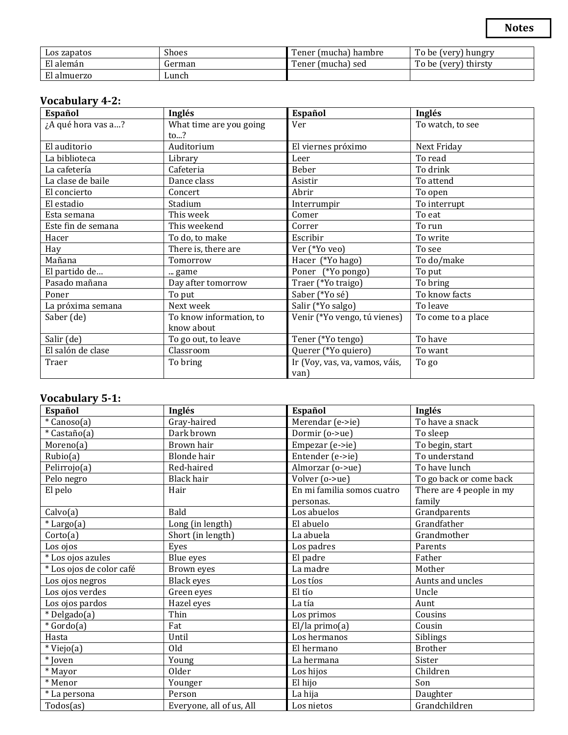| Los zapatos | Shoes  | l'ener (mucha'<br>) hambre | To be <sub>L</sub><br>(very) hungry |
|-------------|--------|----------------------------|-------------------------------------|
| El alemán   | German | l'ener (mucha) sed         | To be (very) thirsty                |
| El almuerzo | Lunch  |                            |                                     |

### **Vocabulary 4-2:**

| Español            | Inglés                  | Español                        | Inglés             |
|--------------------|-------------------------|--------------------------------|--------------------|
| ¿A qué hora vas a? | What time are you going | Ver                            | To watch, to see   |
|                    | $\mathsf{to}$ ?         |                                |                    |
| El auditorio       | Auditorium              | El viernes próximo             | Next Friday        |
| La biblioteca      | Library                 | Leer                           | To read            |
| La cafetería       | Cafeteria               | Beber                          | To drink           |
| La clase de baile  | Dance class             | Asistir                        | To attend          |
| El concierto       | Concert                 | Abrir                          | To open            |
| El estadio         | Stadium                 | Interrumpir                    | To interrupt       |
| Esta semana        | This week               | Comer                          | To eat             |
| Este fin de semana | This weekend            | Correr                         | To run             |
| Hacer              | To do, to make          | Escribir                       | To write           |
| Hay                | There is, there are     | Ver (*Yo veo)                  | To see             |
| Mañana             | Tomorrow                | Hacer (*Yo hago)               | To do/make         |
| El partido de      | game                    | Poner (*Yo pongo)              | To put             |
| Pasado mañana      | Day after tomorrow      | Traer (*Yo traigo)             | To bring           |
| Poner              | To put                  | Saber (*Yo sé)                 | To know facts      |
| La próxima semana  | Next week               | Salir (*Yo salgo)              | To leave           |
| Saber (de)         | To know information, to | Venir (*Yo vengo, tú vienes)   | To come to a place |
|                    | know about              |                                |                    |
| Salir (de)         | To go out, to leave     | Tener (*Yo tengo)              | To have            |
| El salón de clase  | Classroom               | Querer (*Yo quiero)            | To want            |
| Traer              | To bring                | Ir (Voy, vas, va, vamos, váis, | To go              |
|                    |                         | van)                           |                    |

#### **Vocabulary 5-1:**

| Español                  | Inglés                   | Español                    | Inglés                   |
|--------------------------|--------------------------|----------------------------|--------------------------|
| * Canoso(a)              | Gray-haired              | Merendar (e->ie)           | To have a snack          |
| * Castaño(a)             | Dark brown               | Dormir (o->ue)             | To sleep                 |
| Moreno(a)                | Brown hair               | Empezar (e->ie)            | To begin, start          |
| Rubic(a)                 | <b>Blonde</b> hair       | Entender (e->ie)           | To understand            |
| Pelirrojo(a)             | Red-haired               | Almorzar (o->ue)           | To have lunch            |
| Pelo negro               | Black hair               | Volver (o->ue)             | To go back or come back  |
| El pelo                  | Hair                     | En mi familia somos cuatro | There are 4 people in my |
|                          |                          | personas.                  | family                   |
| Calvo(a)                 | Bald                     | Los abuelos                | Grandparents             |
| * Largo(a)               | Long (in length)         | El abuelo                  | Grandfather              |
| Corto(a)                 | Short (in length)        | La abuela                  | Grandmother              |
| Los ojos                 | Eyes                     | Los padres                 | Parents                  |
| * Los ojos azules        | Blue eyes                | El padre                   | Father                   |
| * Los ojos de color café | Brown eyes               | La madre                   | Mother                   |
| Los ojos negros          | Black eyes               | Los tíos                   | Aunts and uncles         |
| Los ojos verdes          | Green eyes               | El tío                     | Uncle                    |
| Los ojos pardos          | Hazel eyes               | La tía                     | Aunt                     |
| * Delgado(a)             | Thin                     | Los primos                 | Cousins                  |
| * Gordo(a)               | Fat                      | $El/la$ primo $(a)$        | Cousin                   |
| Hasta                    | Until                    | Los hermanos               | Siblings                 |
| * Viejo(a)               | Old                      | El hermano                 | <b>Brother</b>           |
| * Joven                  | Young                    | La hermana                 | Sister                   |
| * Mayor                  | Older                    | Los hijos                  | Children                 |
| * Menor                  | Younger                  | El hijo                    | Son                      |
| * La persona             | Person                   | La hija                    | Daughter                 |
| Todos(as)                | Everyone, all of us, All | Los nietos                 | Grandchildren            |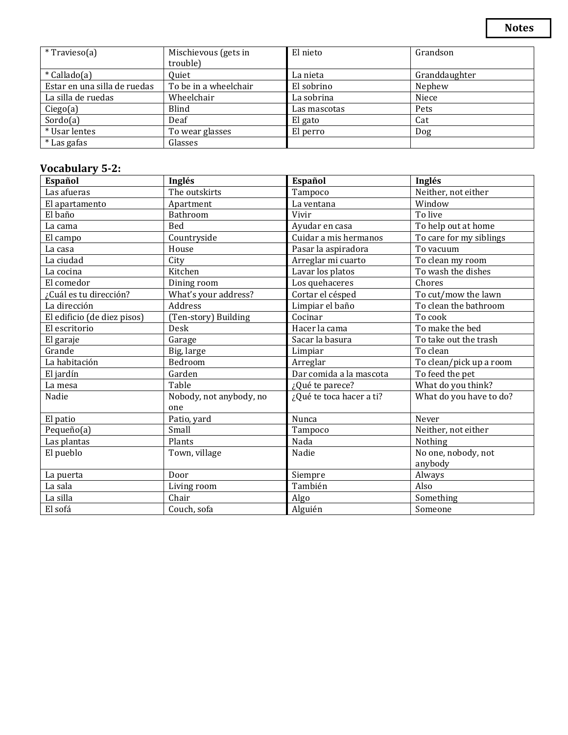| ٠<br>۰,<br>×<br>۰. |
|--------------------|
|--------------------|

| * Travieso(a)                | Mischievous (gets in  | El nieto     | Grandson      |
|------------------------------|-----------------------|--------------|---------------|
|                              | trouble)              |              |               |
| * Callado(a)                 | Quiet                 | La nieta     | Granddaughter |
| Estar en una silla de ruedas | To be in a wheelchair | El sobrino   | Nephew        |
| La silla de ruedas           | Wheelchair            | La sobrina   | Niece         |
| Cieg <sub>0</sub> (a)        | Blind                 | Las mascotas | Pets          |
| Sordo(a)                     | Deaf                  | El gato      | Cat           |
| * Usar lentes                | To wear glasses       | El perro     | Dog           |
| * Las gafas                  | Glasses               |              |               |

## **Vocabulary 5-2:**

| Español                     | Inglés                  | Español                  | Inglés                  |
|-----------------------------|-------------------------|--------------------------|-------------------------|
| Las afueras                 | The outskirts           | Tampoco                  | Neither, not either     |
| El apartamento              | Apartment               | La ventana               | Window                  |
| El baño                     | Bathroom                | Vivir                    | To live                 |
| La cama                     | Bed                     | Ayudar en casa           | To help out at home     |
| El campo                    | Countryside             | Cuidar a mis hermanos    | To care for my siblings |
| La casa                     | House                   | Pasar la aspiradora      | To vacuum               |
| La ciudad                   | City                    | Arreglar mi cuarto       | To clean my room        |
| La cocina                   | Kitchen                 | Lavar los platos         | To wash the dishes      |
| El comedor                  | Dining room             | Los quehaceres           | Chores                  |
| ¿Cuál es tu dirección?      | What's your address?    | Cortar el césped         | To cut/mow the lawn     |
| La dirección                | Address                 | Limpiar el baño          | To clean the bathroom   |
| El edificio (de diez pisos) | (Ten-story) Building    | Cocinar                  | To cook                 |
| El escritorio               | Desk                    | Hacer la cama            | To make the bed         |
| El garaje                   | Garage                  | Sacar la basura          | To take out the trash   |
| Grande                      | Big, large              | Limpiar                  | To clean                |
| La habitación               | Bedroom                 | Arreglar                 | To clean/pick up a room |
| El jardín                   | Garden                  | Dar comida a la mascota  | To feed the pet         |
| La mesa                     | Table                   | ¿Qué te parece?          | What do you think?      |
| Nadie                       | Nobody, not anybody, no | ¿Qué te toca hacer a ti? | What do you have to do? |
|                             | one                     |                          |                         |
| El patio                    | Patio, yard             | Nunca                    | Never                   |
| Pequeño(a)                  | Small                   | Tampoco                  | Neither, not either     |
| Las plantas                 | Plants                  | Nada                     | Nothing                 |
| El pueblo                   | Town, village           | Nadie                    | No one, nobody, not     |
|                             |                         |                          | anybody                 |
| La puerta                   | Door                    | Siempre                  | Always                  |
| La sala                     | Living room             | También                  | Also                    |
| La silla                    | Chair                   | Algo                     | Something               |
| El sofá                     | Couch, sofa             | Alguién                  | Someone                 |